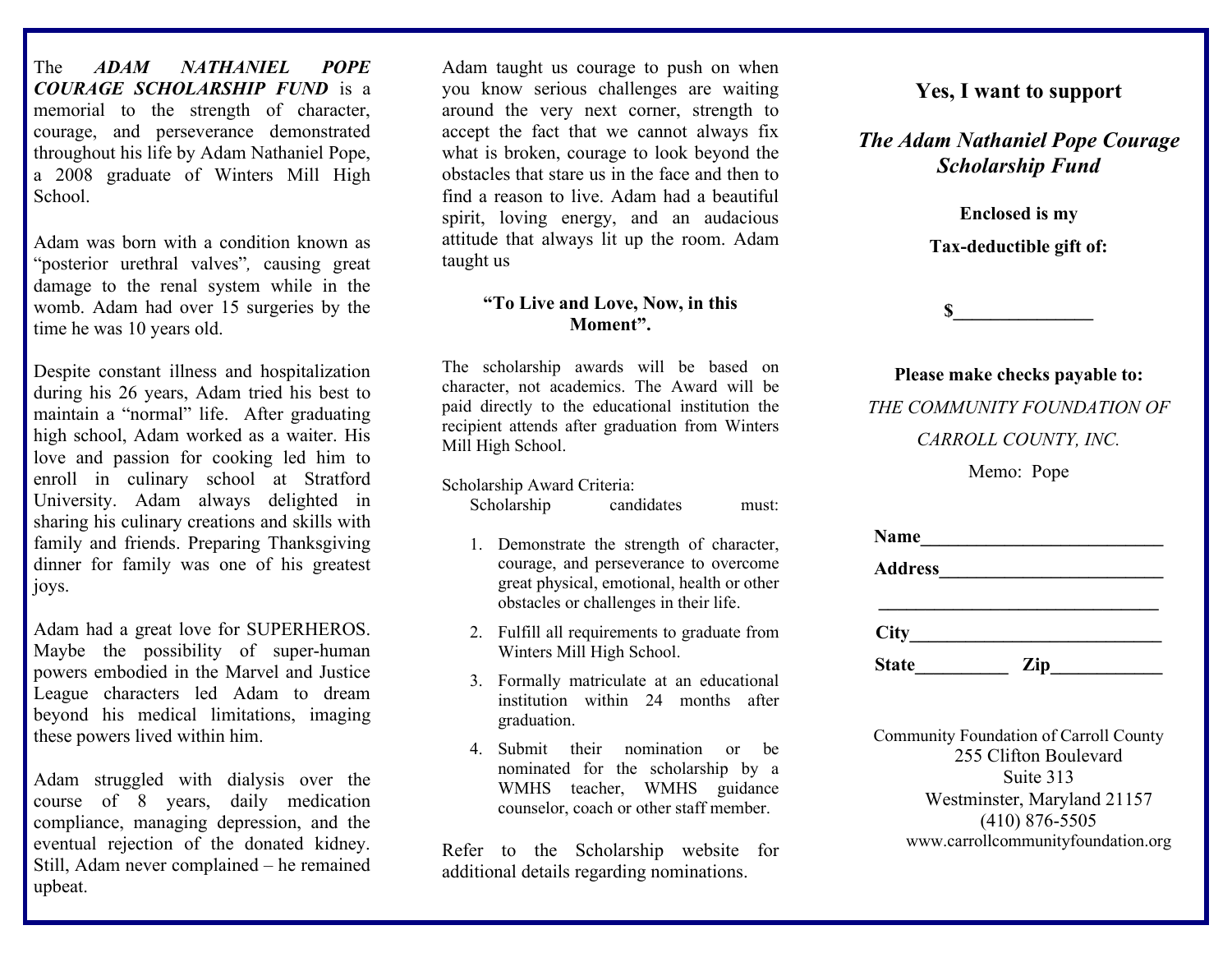The *ADAM NATHANIEL POPE COURAGE SCHOLARSHIP FUND* is a memorial to the strength of character, courage, and perseverance demonstrated throughout his life by Adam Nathaniel Pope, a 2008 graduate of Winters Mill High School.

Adam was born with a condition known as "posterior urethral valves"*,* causing great damage to the renal system while in the womb. Adam had over 15 surgeries by the time he was 10 years old.

Despite constant illness and hospitalization during his 26 years, Adam tried his best to maintain a "normal" life. After graduating high school, Adam worked as a waiter. His love and passion for cooking led him to enroll in culinary school at Stratford University. Adam always delighted in sharing his culinary creations and skills with family and friends. Preparing Thanksgiving dinner for family was one of his greatest joys.

Adam had a great love for SUPERHEROS. Maybe the possibility of super-human powers embodied in the Marvel and Justice League characters led Adam to dream beyond his medical limitations, imaging these powers lived within him.

Adam struggled with dialysis over the course of 8 years, daily medication compliance, managing depression, and the eventual rejection of the donated kidney. Still, Adam never complained – he remained upbeat.

Adam taught us courage to push on when you know serious challenges are waiting around the very next corner, strength to accept the fact that we cannot always fix what is broken, courage to look beyond the obstacles that stare us in the face and then to find a reason to live. Adam had a beautiful spirit, loving energy, and an audacious attitude that always lit up the room. Adam taught us

#### **"To Live and Love, Now, in this Moment".**

The scholarship awards will be based on character, not academics. The Award will be paid directly to the educational institution the recipient attends after graduation from Winters Mill High School.

Scholarship Award Criteria:

Scholarship candidates must:

- 1. Demonstrate the strength of character, courage, and perseverance to overcome great physical, emotional, health or other obstacles or challenges in their life.
- 2. Fulfill all requirements to graduate from Winters Mill High School.
- 3. Formally matriculate at an educational institution within 24 months after graduation.
- 4. Submit their nomination or be nominated for the scholarship by a WMHS teacher, WMHS guidance counselor, coach or other staff member.

Refer to the Scholarship website for additional details regarding nominations.

### **Yes, I want to support**

### *The Adam Nathaniel Pope Courage Scholarship Fund*

**Enclosed is my Tax-deductible gift of:**

**\$\_\_\_\_\_\_\_\_\_\_\_\_\_\_\_**

**Please make checks payable to:** *THE COMMUNITY FOUNDATION OF* 

*CARROLL COUNTY, INC.*

Memo: Pope

| <b>Name</b>    |     |  |
|----------------|-----|--|
| <b>Address</b> |     |  |
|                |     |  |
| City           |     |  |
| <b>State</b>   | Zip |  |

Community Foundation of Carroll County 255 Clifton Boulevard Suite 313 Westminster, Maryland 21157 (410) 876-5505 [www.carrollcommunityfoundation.org](http://www.carrollcommunityfoundation.org/)